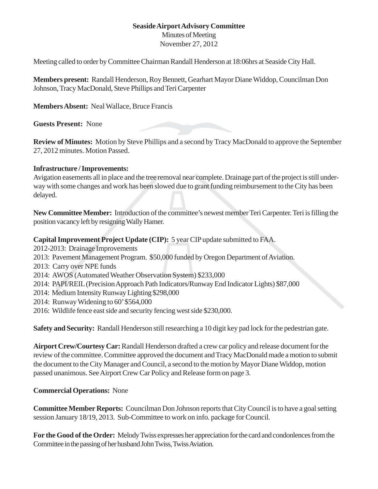## **Seaside Airport Advisory Committee**

Minutes of Meeting November 27, 2012

Meeting called to order by Committee Chairman Randall Henderson at 18:06hrs at Seaside City Hall.

**Members present:** Randall Henderson, Roy Bennett, Gearhart Mayor Diane Widdop, Councilman Don Johnson, Tracy MacDonald, Steve Phillips and Teri Carpenter

**Members Absent:** Neal Wallace, Bruce Francis

**Guests Present:** None

**Review of Minutes:** Motion by Steve Phillips and a second by Tracy MacDonald to approve the September 27, 2012 minutes. Motion Passed.

## **Infrastructure / Improvements:**

Avigation easements all in place and the tree removal near complete. Drainage part of the project is still underway with some changes and work has been slowed due to grant funding reimbursement to the City has been delayed.

**New Committee Member:** Introduction of the committee's newest member Teri Carpenter. Teri is filling the position vacancy left by resigning Wally Hamer.

**Capital Improvement Project Update (CIP):** 5 year CIP update submitted to FAA.

- 2012-2013: Drainage Improvements
- 2013: Pavement Management Program. \$50,000 funded by Oregon Department of Aviation.
- 2013: Carry over NPE funds
- 2014: AWOS (Automated Weather Observation System) \$233,000
- 2014: PAPI/REIL (Precision Approach Path Indicators/Runway End Indicator Lights) \$87,000
- 2014: Medium Intensity Runway Lighting \$298,000
- 2014: Runway Widening to 60' \$564,000
- 2016: Wildlife fence east side and security fencing west side \$230,000.

**Safety and Security:** Randall Henderson still researching a 10 digit key pad lock for the pedestrian gate.

**Airport Crew/Courtesy Car:** Randall Henderson drafted a crew car policy and release document for the review of the committee. Committee approved the document and Tracy MacDonald made a motion to submit the document to the City Manager and Council, a second to the motion by Mayor Diane Widdop, motion passed unanimous. See Airport Crew Car Policy and Release form on page 3.

## **Commercial Operations:** None

**Committee Member Reports:** Councilman Don Johnson reports that City Council is to have a goal setting session January 18/19, 2013. Sub-Committee to work on info. package for Council.

**For the Good of the Order:** Melody Twiss expresses her appreciation for the card and condonlences from the Committee in the passing of her husband John Twiss, Twiss Aviation.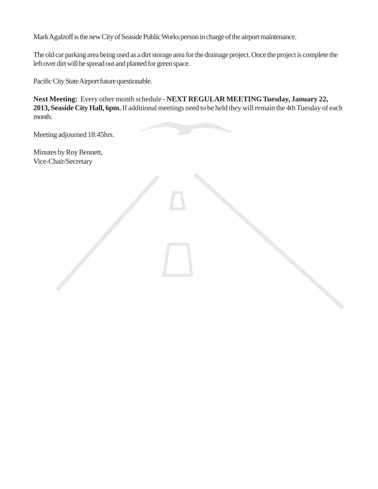Mark Agalzoff is the new City of Seaside Public Works person in charge of the airport maintenance.

The old car parking area being used as a dirt storage area for the drainage project. Once the project is complete the left over dirt will be spread out and planted for green space.

Pacific City State Airport future questionable.

**Next Meeting:** Every other month schedule - **NEXT REGULAR MEETING Tuesday, January 22, 2013, Seaside City Hall, 6pm.** If additional meetings need to be held they will remain the 4th Tuesday of each month.

Meeting adjourned 18:45hrs.

Minutes by Roy Bennett, Vice-Chair/Secretary